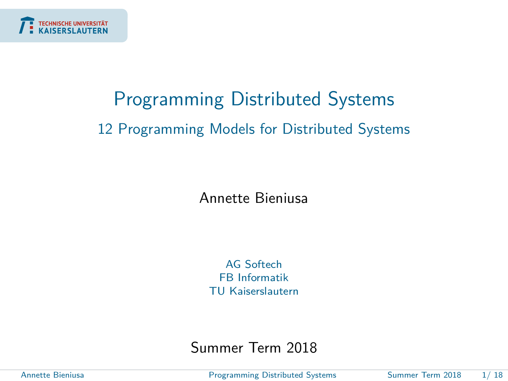<span id="page-0-0"></span>

# Programming Distributed Systems 12 Programming Models for Distributed Systems

Annette Bieniusa

AG Softech FB Informatik TU Kaiserslautern

Summer Term 2018

Annette Bieniusa [Programming Distributed Systems](#page-17-0) Summer Term 2018 1/ 18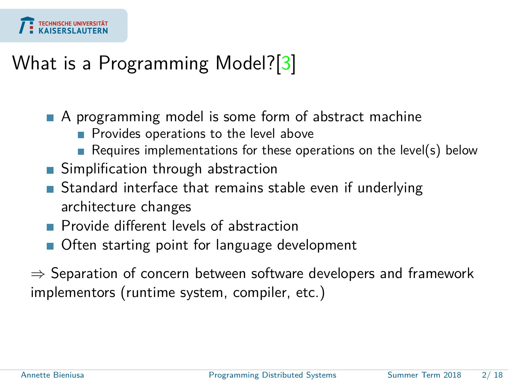

### What is a Programming Model?[\[3\]](#page-17-1)

- A programming model is some form of abstract machine
	- Provides operations to the level above
	- Requires implementations for these operations on the level(s) below
- **Simplification through abstraction**
- **Standard interface that remains stable even if underlying** architecture changes
- **Provide different levels of abstraction**
- Often starting point for language development
- $\Rightarrow$  Separation of concern between software developers and framework implementors (runtime system, compiler, etc.)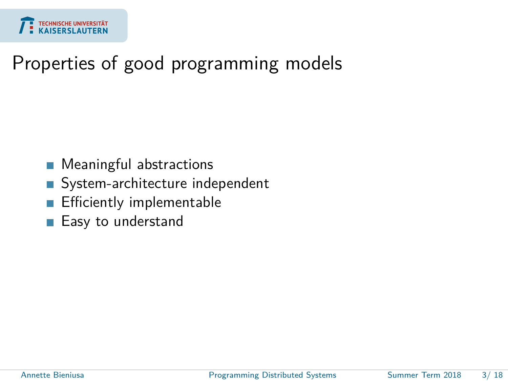

#### Properties of good programming models

- Meaningful abstractions  $\overline{\phantom{a}}$
- System-architecture independent  $\mathcal{L}_{\mathcal{A}}$
- Efficiently implementable
- Easy to understand П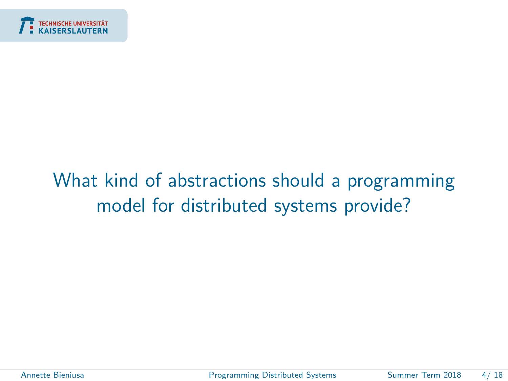<span id="page-3-0"></span>

# [What kind of abstractions should a programming](#page-3-0) [model for distributed systems provide?](#page-3-0)

Annette Bieniusa [Programming Distributed Systems](#page-0-0) Summer Term 2018 4/ 18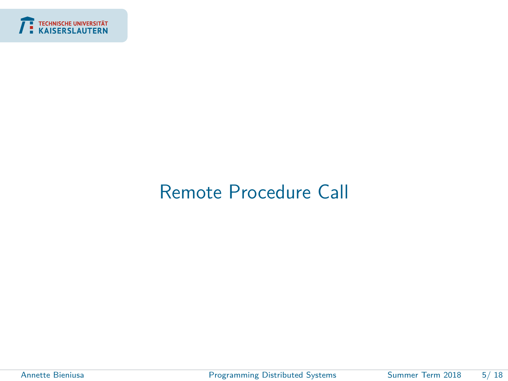<span id="page-4-0"></span>

### [Remote Procedure Call](#page-4-0)

ł

Annette Bieniusa **[Programming Distributed Systems](#page-0-0)** Summer Term 2018 5/18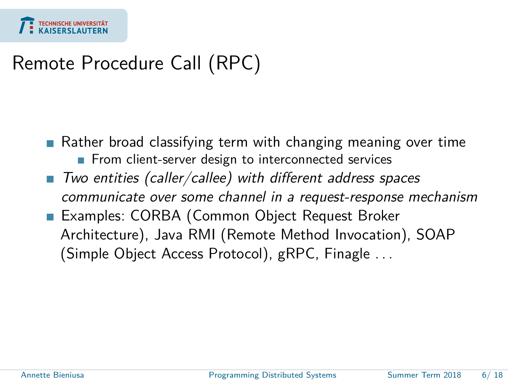

## Remote Procedure Call (RPC)

**Rather broad classifying term with changing meaning over time** From client-server design to interconnected services

- Two entities (caller/callee) with different address spaces communicate over some channel in a request-response mechanism
- **Examples: CORBA (Common Object Request Broker** Architecture), Java RMI (Remote Method Invocation), SOAP (Simple Object Access Protocol), gRPC, Finagle . . .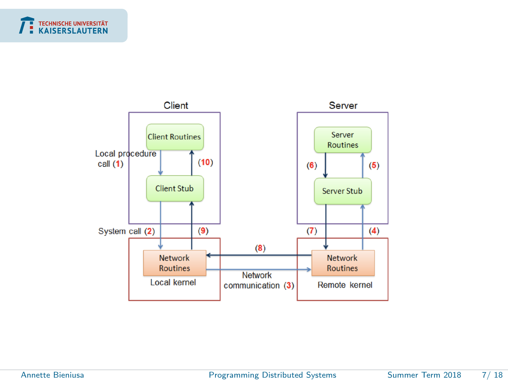



÷

Annette Bieniusa **[Programming Distributed Systems](#page-0-0)** Summer Term 2018 7/18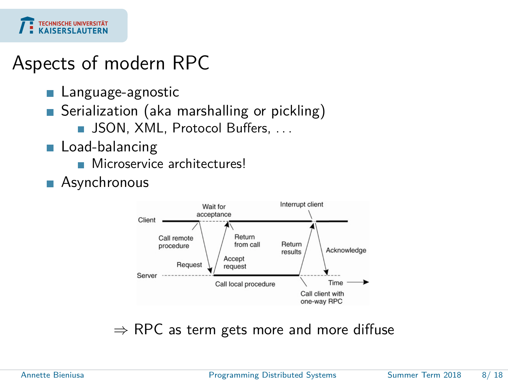

#### Aspects of modern RPC

- Language-agnostic
- Serialization (aka marshalling or pickling)
	- **JSON, XML, Protocol Buffers, ...**
- Load-balancing
	- **Microservice architectures!**
- **Asynchronous**



 $\Rightarrow$  RPC as term gets more and more diffuse

Annette Bieniusa [Programming Distributed Systems](#page-0-0) Summer Term 2018 8/ 18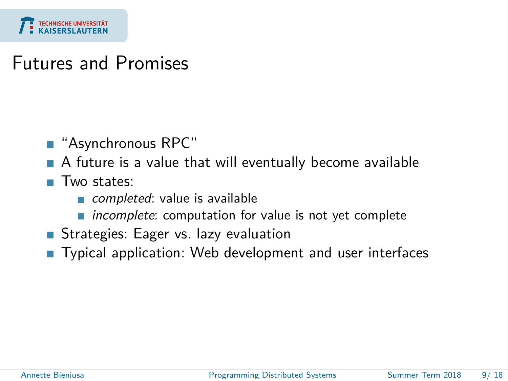

#### Futures and Promises

- "Asynchronous RPC"
- A future is a value that will eventually become available
- Two states:
	- completed: value is available
	- $\blacksquare$  incomplete: computation for value is not yet complete
- Strategies: Eager vs. lazy evaluation
- Typical application: Web development and user interfaces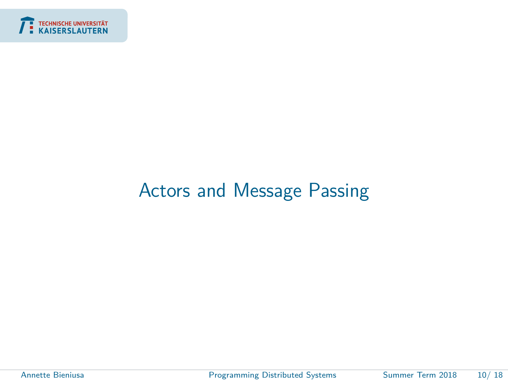<span id="page-9-0"></span>

#### [Actors and Message Passing](#page-9-0)

÷

Annette Bieniusa [Programming Distributed Systems](#page-0-0) Summer Term 2018 10/ 18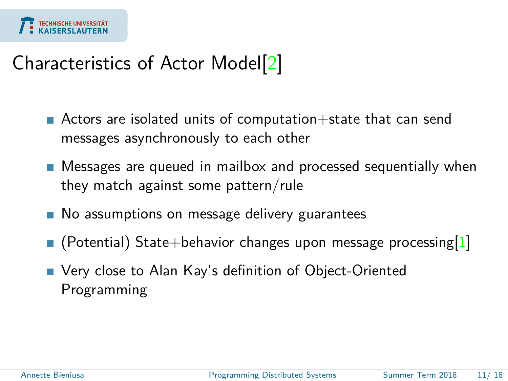

## Characteristics of Actor Model[\[2\]](#page-17-2)

- Actors are isolated units of computation $+$ state that can send messages asynchronously to each other
- Messages are queued in mailbox and processed sequentially when they match against some pattern/rule
- **No assumptions on message delivery guarantees**
- $\blacksquare$  (Potential) State+behavior changes upon message processing[\[1\]](#page-17-3)
- Very close to Alan Kay's definition of Object-Oriented Programming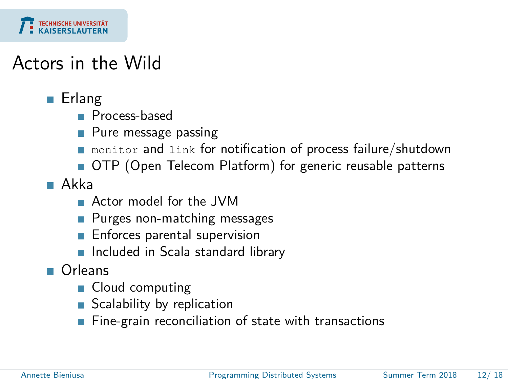

#### Actors in the Wild

- **Erlang** 
	- **Process-based**
	- **Pure message passing**
	- **n** monitor and link for notification of process failure/shutdown
	- OTP (Open Telecom Platform) for generic reusable patterns
- Akka
	- **Actor model for the JVM**
	- **Purges non-matching messages**
	- **Enforces parental supervision**
	- Included in Scala standard library
- Orleans
	- Cloud computing
	- Scalability by replication
	- $\blacksquare$  Fine-grain reconciliation of state with transactions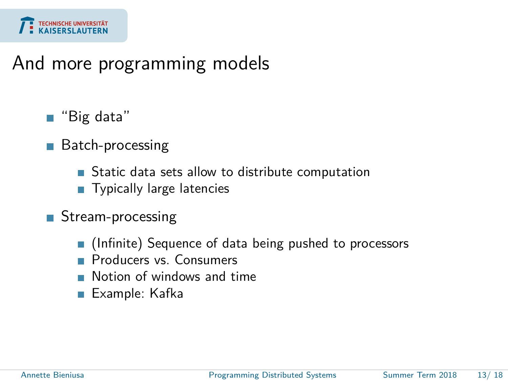

#### And more programming models

- "Big data"
- Batch-processing  $\overline{\phantom{a}}$ 
	- **Static data sets allow to distribute computation**
	- **Typically large latencies**
- Stream-processing
	- (Infinite) Sequence of data being pushed to processors
	- **Producers vs. Consumers**
	- **Notion of windows and time**
	- Example: Kafka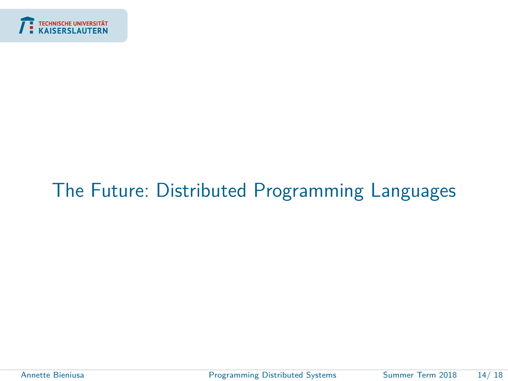<span id="page-13-0"></span>

### [The Future: Distributed Programming Languages](#page-13-0)

Annette Bieniusa **[Programming Distributed Systems](#page-0-0)** Summer Term 2018 14/18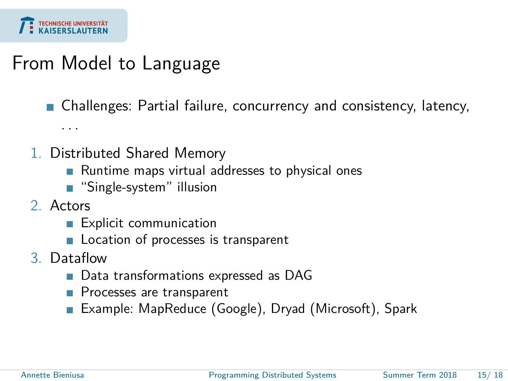

#### From Model to Language

Challenges: Partial failure, concurrency and consistency, latency,

- 1. Distributed Shared Memory
	- Runtime maps virtual addresses to physical ones
	- "Single-system" illusion
- 2. Actors

. . .

- **Explicit communication**
- **Location of processes is transparent**
- 3. Dataflow
	- Data transformations expressed as DAG
	- **Processes are transparent**
	- Example: MapReduce (Google), Dryad (Microsoft), Spark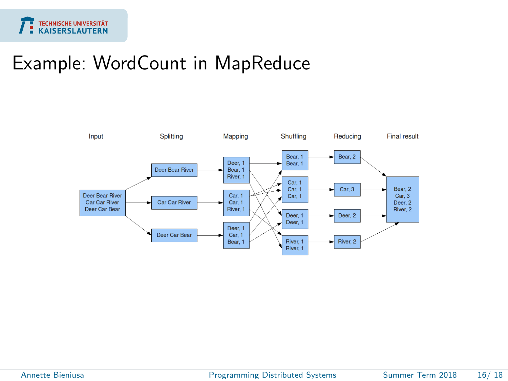

#### Example: WordCount in MapReduce



Annette Bieniusa [Programming Distributed Systems](#page-0-0) Summer Term 2018 16/ 18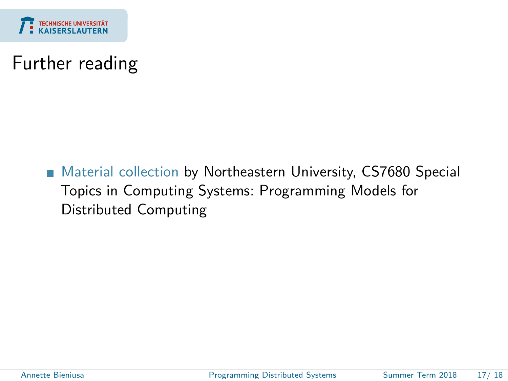

#### Further reading

■ [Material collection](https://github.com/heathermiller/dist-prog-book) by Northeastern University, CS7680 Special Topics in Computing Systems: Programming Models for Distributed Computing

Annette Bieniusa [Programming Distributed Systems](#page-0-0) Summer Term 2018 17/ 18